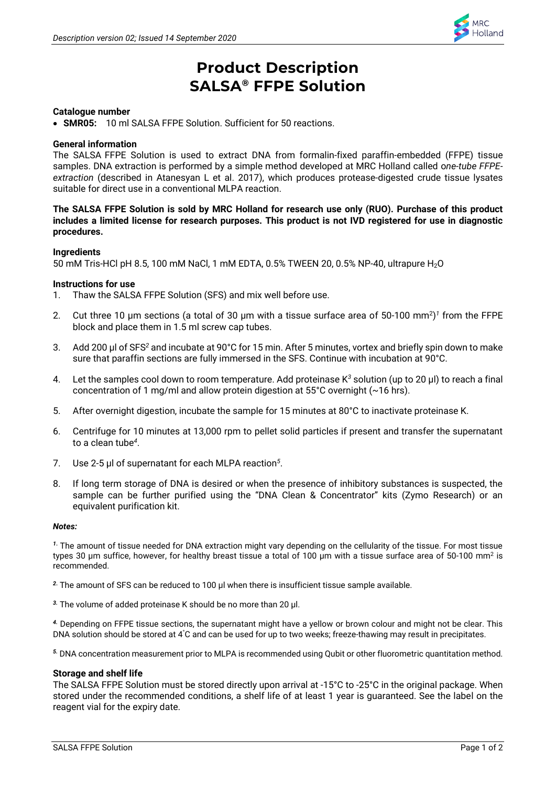

# **Product Description SALSA® FFPE Solution**

# **Catalogue number**

• **SMR05:** 10 ml SALSA FFPE Solution. Sufficient for 50 reactions.

# **General information**

The SALSA FFPE Solution is used to extract DNA from formalin-fixed paraffin-embedded (FFPE) tissue samples. DNA extraction is performed by a simple method developed at MRC Holland called o*ne-tube FFPEextraction* (described in Atanesyan L et al. 2017), which produces protease-digested crude tissue lysates suitable for direct use in a conventional MLPA reaction.

# **The SALSA FFPE Solution is sold by MRC Holland for research use only (RUO). Purchase of this product includes a limited license for research purposes. This product is not IVD registered for use in diagnostic procedures.**

## **Ingredients**

50 mM Tris-HCl pH 8.5, 100 mM NaCl, 1 mM EDTA, 0.5% TWEEN 20, 0.5% NP-40, ultrapure H2O

## **Instructions for use**

- 1. Thaw the SALSA FFPE Solution (SFS) and mix well before use.
- 2. Cut three 10  $\mu$ m sections (a total of 30  $\mu$ m with a tissue surface area of 50-100 mm<sup>2</sup>)<sup>1</sup> from the FFPE block and place them in 1.5 ml screw cap tubes.
- 3. Add 200 μl of SFS*<sup>2</sup>* and incubate at 90°C for 15 min. After 5 minutes, vortex and briefly spin down to make sure that paraffin sections are fully immersed in the SFS. Continue with incubation at 90°C.
- 4. Let the samples cool down to room temperature. Add proteinase K*<sup>3</sup>* solution (up to 20 μl) to reach a final concentration of 1 mg/ml and allow protein digestion at 55°C overnight (~16 hrs).
- 5. After overnight digestion, incubate the sample for 15 minutes at 80°C to inactivate proteinase K.
- 6. Centrifuge for 10 minutes at 13,000 rpm to pellet solid particles if present and transfer the supernatant to a clean tube*<sup>4</sup>* .
- 7. Use 2-5 μl of supernatant for each MLPA reaction*<sup>5</sup>* .
- 8. If long term storage of DNA is desired or when the presence of inhibitory substances is suspected, the sample can be further purified using the "DNA Clean & Concentrator" kits (Zymo Research) or an equivalent purification kit.

#### *Notes:*

*<sup>1</sup>***.** The amount of tissue needed for DNA extraction might vary depending on the cellularity of the tissue. For most tissue types 30 µm suffice, however, for healthy breast tissue a total of 100 µm with a tissue surface area of 50-100 mm<sup>2</sup> is recommended.

*<sup>2</sup>***.** The amount of SFS can be reduced to 100 μl when there is insufficient tissue sample available.

*3.* The volume of added proteinase K should be no more than 20 µl.

*4.* Depending on FFPE tissue sections, the supernatant might have a yellow or brown colour and might not be clear. This DNA solution should be stored at 4°C and can be used for up to two weeks; freeze-thawing may result in precipitates.

*5.* DNA concentration measurement prior to MLPA is recommended using Qubit or other fluorometric quantitation method.

## **Storage and shelf life**

The SALSA FFPE Solution must be stored directly upon arrival at -15°C to -25°C in the original package. When stored under the recommended conditions, a shelf life of at least 1 year is guaranteed. See the label on the reagent vial for the expiry date.